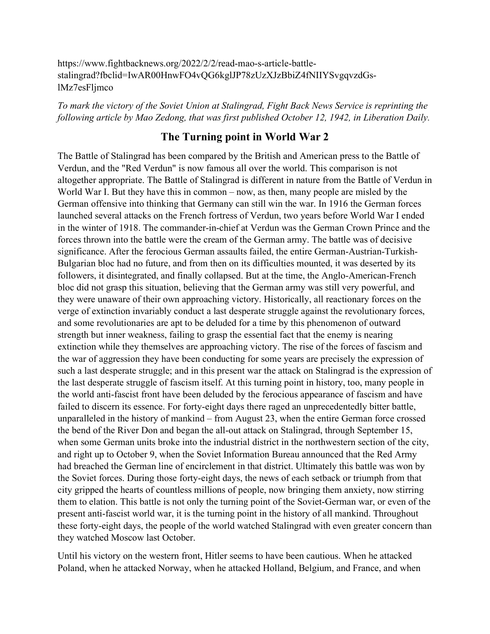https://www.fightbacknews.org/2022/2/2/read-mao-s-article-battlestalingrad?fbclid=IwAR00HnwFO4vQG6kglJP78zUzXJzBbiZ4fNIIYSvgqvzdGslMz7esFljmco

*To mark the victory of the Soviet Union at Stalingrad, Fight Back News Service is reprinting the following article by Mao Zedong, that was first published October 12, 1942, in Liberation Daily.*

## **The Turning point in World War 2**

The Battle of Stalingrad has been compared by the British and American press to the Battle of Verdun, and the "Red Verdun" is now famous all over the world. This comparison is not altogether appropriate. The Battle of Stalingrad is different in nature from the Battle of Verdun in World War I. But they have this in common – now, as then, many people are misled by the German offensive into thinking that Germany can still win the war. In 1916 the German forces launched several attacks on the French fortress of Verdun, two years before World War I ended in the winter of 1918. The commander-in-chief at Verdun was the German Crown Prince and the forces thrown into the battle were the cream of the German army. The battle was of decisive significance. After the ferocious German assaults failed, the entire German-Austrian-Turkish-Bulgarian bloc had no future, and from then on its difficulties mounted, it was deserted by its followers, it disintegrated, and finally collapsed. But at the time, the Anglo-American-French bloc did not grasp this situation, believing that the German army was still very powerful, and they were unaware of their own approaching victory. Historically, all reactionary forces on the verge of extinction invariably conduct a last desperate struggle against the revolutionary forces, and some revolutionaries are apt to be deluded for a time by this phenomenon of outward strength but inner weakness, failing to grasp the essential fact that the enemy is nearing extinction while they themselves are approaching victory. The rise of the forces of fascism and the war of aggression they have been conducting for some years are precisely the expression of such a last desperate struggle; and in this present war the attack on Stalingrad is the expression of the last desperate struggle of fascism itself. At this turning point in history, too, many people in the world anti-fascist front have been deluded by the ferocious appearance of fascism and have failed to discern its essence. For forty-eight days there raged an unprecedentedly bitter battle, unparalleled in the history of mankind – from August 23, when the entire German force crossed the bend of the River Don and began the all-out attack on Stalingrad, through September 15, when some German units broke into the industrial district in the northwestern section of the city, and right up to October 9, when the Soviet Information Bureau announced that the Red Army had breached the German line of encirclement in that district. Ultimately this battle was won by the Soviet forces. During those forty-eight days, the news of each setback or triumph from that city gripped the hearts of countless millions of people, now bringing them anxiety, now stirring them to elation. This battle is not only the turning point of the Soviet-German war, or even of the present anti-fascist world war, it is the turning point in the history of all mankind. Throughout these forty-eight days, the people of the world watched Stalingrad with even greater concern than they watched Moscow last October.

Until his victory on the western front, Hitler seems to have been cautious. When he attacked Poland, when he attacked Norway, when he attacked Holland, Belgium, and France, and when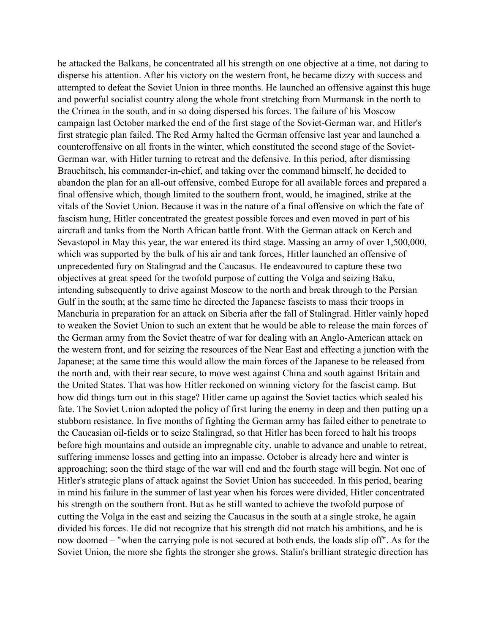he attacked the Balkans, he concentrated all his strength on one objective at a time, not daring to disperse his attention. After his victory on the western front, he became dizzy with success and attempted to defeat the Soviet Union in three months. He launched an offensive against this huge and powerful socialist country along the whole front stretching from Murmansk in the north to the Crimea in the south, and in so doing dispersed his forces. The failure of his Moscow campaign last October marked the end of the first stage of the Soviet-German war, and Hitler's first strategic plan failed. The Red Army halted the German offensive last year and launched a counteroffensive on all fronts in the winter, which constituted the second stage of the Soviet-German war, with Hitler turning to retreat and the defensive. In this period, after dismissing Brauchitsch, his commander-in-chief, and taking over the command himself, he decided to abandon the plan for an all-out offensive, combed Europe for all available forces and prepared a final offensive which, though limited to the southern front, would, he imagined, strike at the vitals of the Soviet Union. Because it was in the nature of a final offensive on which the fate of fascism hung, Hitler concentrated the greatest possible forces and even moved in part of his aircraft and tanks from the North African battle front. With the German attack on Kerch and Sevastopol in May this year, the war entered its third stage. Massing an army of over 1,500,000, which was supported by the bulk of his air and tank forces, Hitler launched an offensive of unprecedented fury on Stalingrad and the Caucasus. He endeavoured to capture these two objectives at great speed for the twofold purpose of cutting the Volga and seizing Baku, intending subsequently to drive against Moscow to the north and break through to the Persian Gulf in the south; at the same time he directed the Japanese fascists to mass their troops in Manchuria in preparation for an attack on Siberia after the fall of Stalingrad. Hitler vainly hoped to weaken the Soviet Union to such an extent that he would be able to release the main forces of the German army from the Soviet theatre of war for dealing with an Anglo-American attack on the western front, and for seizing the resources of the Near East and effecting a junction with the Japanese; at the same time this would allow the main forces of the Japanese to be released from the north and, with their rear secure, to move west against China and south against Britain and the United States. That was how Hitler reckoned on winning victory for the fascist camp. But how did things turn out in this stage? Hitler came up against the Soviet tactics which sealed his fate. The Soviet Union adopted the policy of first luring the enemy in deep and then putting up a stubborn resistance. In five months of fighting the German army has failed either to penetrate to the Caucasian oil-fields or to seize Stalingrad, so that Hitler has been forced to halt his troops before high mountains and outside an impregnable city, unable to advance and unable to retreat, suffering immense losses and getting into an impasse. October is already here and winter is approaching; soon the third stage of the war will end and the fourth stage will begin. Not one of Hitler's strategic plans of attack against the Soviet Union has succeeded. In this period, bearing in mind his failure in the summer of last year when his forces were divided, Hitler concentrated his strength on the southern front. But as he still wanted to achieve the twofold purpose of cutting the Volga in the east and seizing the Caucasus in the south at a single stroke, he again divided his forces. He did not recognize that his strength did not match his ambitions, and he is now doomed – "when the carrying pole is not secured at both ends, the loads slip off". As for the Soviet Union, the more she fights the stronger she grows. Stalin's brilliant strategic direction has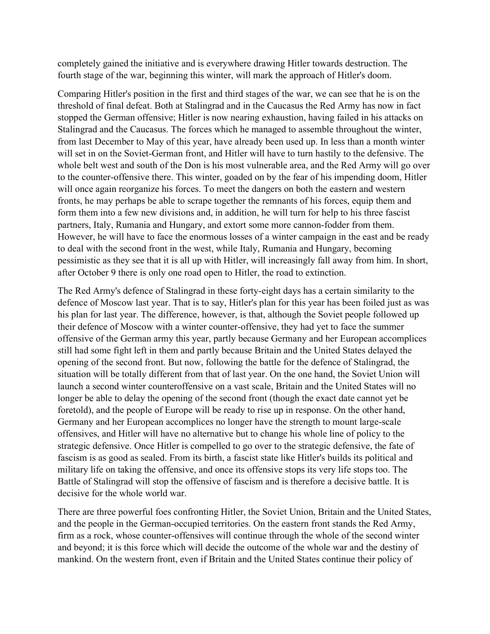completely gained the initiative and is everywhere drawing Hitler towards destruction. The fourth stage of the war, beginning this winter, will mark the approach of Hitler's doom.

Comparing Hitler's position in the first and third stages of the war, we can see that he is on the threshold of final defeat. Both at Stalingrad and in the Caucasus the Red Army has now in fact stopped the German offensive; Hitler is now nearing exhaustion, having failed in his attacks on Stalingrad and the Caucasus. The forces which he managed to assemble throughout the winter, from last December to May of this year, have already been used up. In less than a month winter will set in on the Soviet-German front, and Hitler will have to turn hastily to the defensive. The whole belt west and south of the Don is his most vulnerable area, and the Red Army will go over to the counter-offensive there. This winter, goaded on by the fear of his impending doom, Hitler will once again reorganize his forces. To meet the dangers on both the eastern and western fronts, he may perhaps be able to scrape together the remnants of his forces, equip them and form them into a few new divisions and, in addition, he will turn for help to his three fascist partners, Italy, Rumania and Hungary, and extort some more cannon-fodder from them. However, he will have to face the enormous losses of a winter campaign in the east and be ready to deal with the second front in the west, while Italy, Rumania and Hungary, becoming pessimistic as they see that it is all up with Hitler, will increasingly fall away from him. In short, after October 9 there is only one road open to Hitler, the road to extinction.

The Red Army's defence of Stalingrad in these forty-eight days has a certain similarity to the defence of Moscow last year. That is to say, Hitler's plan for this year has been foiled just as was his plan for last year. The difference, however, is that, although the Soviet people followed up their defence of Moscow with a winter counter-offensive, they had yet to face the summer offensive of the German army this year, partly because Germany and her European accomplices still had some fight left in them and partly because Britain and the United States delayed the opening of the second front. But now, following the battle for the defence of Stalingrad, the situation will be totally different from that of last year. On the one hand, the Soviet Union will launch a second winter counteroffensive on a vast scale, Britain and the United States will no longer be able to delay the opening of the second front (though the exact date cannot yet be foretold), and the people of Europe will be ready to rise up in response. On the other hand, Germany and her European accomplices no longer have the strength to mount large-scale offensives, and Hitler will have no alternative but to change his whole line of policy to the strategic defensive. Once Hitler is compelled to go over to the strategic defensive, the fate of fascism is as good as sealed. From its birth, a fascist state like Hitler's builds its political and military life on taking the offensive, and once its offensive stops its very life stops too. The Battle of Stalingrad will stop the offensive of fascism and is therefore a decisive battle. It is decisive for the whole world war.

There are three powerful foes confronting Hitler, the Soviet Union, Britain and the United States, and the people in the German-occupied territories. On the eastern front stands the Red Army, firm as a rock, whose counter-offensives will continue through the whole of the second winter and beyond; it is this force which will decide the outcome of the whole war and the destiny of mankind. On the western front, even if Britain and the United States continue their policy of